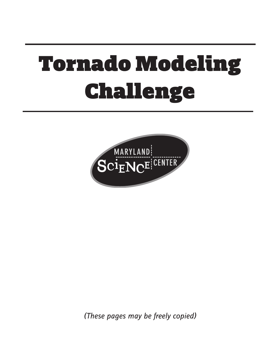# Tornado Modeling Challenge



*(These pages may be freely copied)*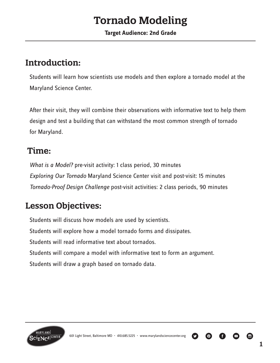# **Tornado Modeling**

#### **Target Audience: 2nd Grade**

### **Introduction:**

Students will learn how scientists use models and then explore a tornado model at the Maryland Science Center.

After their visit, they will combine their observations with informative text to help them design and test a building that can withstand the most common strength of tornado for Maryland.

### **Time:**

*What is a Model?* pre-visit activity: 1 class period, 30 minutes *Exploring Our Tornado* Maryland Science Center visit and post-visit: 15 minutes *Tornado-Proof Design Challenge* post-visit activities: 2 class periods, 90 minutes

### **Lesson Objectives:**

Students will discuss how models are used by scientists.

Students will explore how a model tornado forms and dissipates.

Students will read informative text about tornados.

Students will compare a model with informative text to form an argument.

Students will draw a graph based on tornado data.



 $\boldsymbol{\Theta}$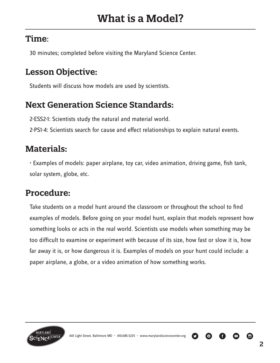### **Time**:

30 minutes; completed before visiting the Maryland Science Center.

### **Lesson Objective:**

Students will discuss how models are used by scientists.

### **Next Generation Science Standards:**

2-ESS2-1: Scientists study the natural and material world.

2-PS1-4: Scientists search for cause and effect relationships to explain natural events.

### **Materials:**

• Examples of models: paper airplane, toy car, video animation, driving game, fish tank, solar system, globe, etc.

### **Procedure:**

Take students on a model hunt around the classroom or throughout the school to find examples of models. Before going on your model hunt, explain that models represent how something looks or acts in the real world. Scientists use models when something may be too difficult to examine or experiment with because of its size, how fast or slow it is, how far away it is, or how dangerous it is. Examples of models on your hunt could include: a paper airplane, a globe, or a video animation of how something works.



O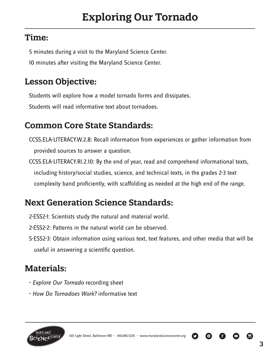### **Time:**

5 minutes during a visit to the Maryland Science Center.

10 minutes after visiting the Maryland Science Center.

### **Lesson Objective:**

Students will explore how a model tornado forms and dissipates.

Students will read informative text about tornadoes.

### **Common Core State Standards:**

- CCSS.ELA-LITERACY.W.2.8: Recall information from experiences or gather information from provided sources to answer a question.
- CCSS.ELA-LITERACY.RI.2.10: By the end of year, read and comprehend informational texts, including history/social studies, science, and technical texts, in the grades 2-3 text complexity band proficiently, with scaffolding as needed at the high end of the range.

# **Next Generation Science Standards:**

- 2-ESS2-1: Scientists study the natural and material world.
- 2-ESS2-2: Patterns in the natural world can be observed.
- S-ESS2-3: Obtain information using various text, text features, and other media that will be useful in answering a scientific question.

# **Materials:**

- *Explore Our Tornado* recording sheet
- *How Do Tornadoes Work?* informative text



601 Light Street, Baltimore MD • 410.685.5225 • www.marylandsciencecenter.org

o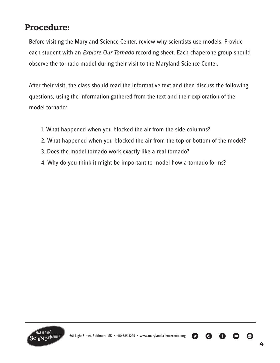### **Procedure:**

Before visiting the Maryland Science Center, review why scientists use models. Provide each student with an *Explore Our Tornado* recording sheet. Each chaperone group should observe the tornado model during their visit to the Maryland Science Center.

After their visit, the class should read the informative text and then discuss the following questions, using the information gathered from the text and their exploration of the model tornado:

- 1. What happened when you blocked the air from the side columns?
- 2. What happened when you blocked the air from the top or bottom of the model?
- 3. Does the model tornado work exactly like a real tornado?
- 4. Why do you think it might be important to model how a tornado forms?



 $\bullet$   $\bullet$ 

A

(の)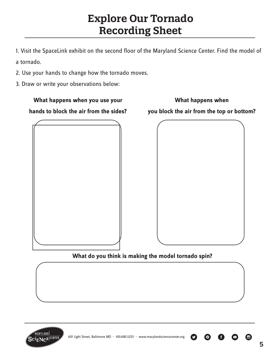# **Explore Our Tornado Recording Sheet**

1. Visit the SpaceLink exhibit on the second floor of the Maryland Science Center. Find the model of a tornado.

- 2. Use your hands to change how the tornado moves.
- 3. Draw or write your observations below:



#### **What do you think is making the model tornado spin?**



 $\bigcirc$ 

 $\boldsymbol{\Theta}$ 

Ø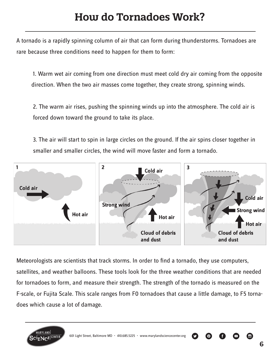# **How do Tornadoes Work?**

A tornado is a rapidly spinning column of air that can form during thunderstorms. Tornadoes are rare because three conditions need to happen for them to form:

1. Warm wet air coming from one direction must meet cold dry air coming from the opposite direction. When the two air masses come together, they create strong, spinning winds.

2. The warm air rises, pushing the spinning winds up into the atmosphere. The cold air is forced down toward the ground to take its place.

3. The air will start to spin in large circles on the ground. If the air spins closer together in smaller and smaller circles, the wind will move faster and form a tornado.



Meteorologists are scientists that track storms. In order to find a tornado, they use computers, satellites, and weather balloons. These tools look for the three weather conditions that are needed for tornadoes to form, and measure their strength. The strength of the tornado is measured on the F-scale, or Fujita Scale. This scale ranges from F0 tornadoes that cause a little damage, to F5 tornadoes which cause a lot of damage.

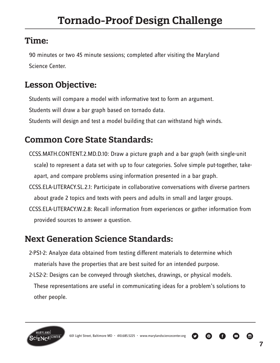### **Time:**

90 minutes or two 45 minute sessions; completed after visiting the Maryland Science Center.

### **Lesson Objective:**

Students will compare a model with informative text to form an argument.

Students will draw a bar graph based on tornado data.

Students will design and test a model building that can withstand high winds.

### **Common Core State Standards:**

CCSS.MATH.CONTENT.2.MD.D.10: Draw a picture graph and a bar graph (with single-unit scale) to represent a data set with up to four categories. Solve simple put-together, take apart, and compare problems using information presented in a bar graph.

CCSS.ELA-LITERACY.SL.2.1: Participate in collaborative conversations with diverse partners about grade 2 topics and texts with peers and adults in small and larger groups.

CCSS.ELA-LITERACY.W.2.8: Recall information from experiences or gather information from provided sources to answer a question.

### **Next Generation Science Standards:**

- 2-PS1-2: Analyze data obtained from testing different materials to determine which materials have the properties that are best suited for an intended purpose.
- 2-LS2-2: Designs can be conveyed through sketches, drawings, or physical models. These representations are useful in communicating ideas for a problem's solutions to other people.



O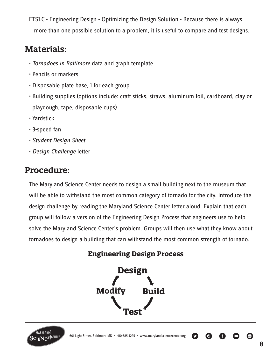ETS1.C - Engineering Design - Optimizing the Design Solution - Because there is always more than one possible solution to a problem, it is useful to compare and test designs.

### **Materials:**

- • *Tornadoes in Baltimore* data and graph template
- Pencils or markers
- Disposable plate base, 1 for each group
- Building supplies (options include: craft sticks, straws, aluminum foil, cardboard, clay or playdough, tape, disposable cups)
- Yardstick
- 3-speed fan
- • *Student Design Sheet*
- *Design Challenge* letter

### **Procedure:**

The Maryland Science Center needs to design a small building next to the museum that will be able to withstand the most common category of tornado for the city. Introduce the design challenge by reading the Maryland Science Center letter aloud. Explain that each group will follow a version of the Engineering Design Process that engineers use to help solve the Maryland Science Center's problem. Groups will then use what they know about tornadoes to design a building that can withstand the most common strength of tornado.

### **Engineering Design Process**





 $\boldsymbol{\Theta}$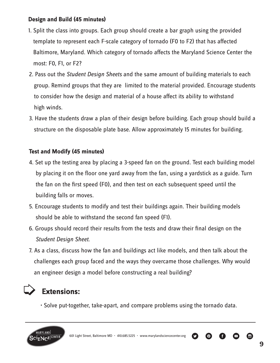#### **Design and Build (45 minutes)**

- 1. Split the class into groups. Each group should create a bar graph using the provided template to represent each F-scale category of tornado (F0 to F2) that has affected Baltimore, Maryland. Which category of tornado affects the Maryland Science Center the most: F0, F1, or F2?
- 2. Pass out the *Student Design Sheets* and the same amount of building materials to each group. Remind groups that they are limited to the material provided. Encourage students to consider how the design and material of a house affect its ability to withstand high winds.
- 3. Have the students draw a plan of their design before building. Each group should build a structure on the disposable plate base. Allow approximately 15 minutes for building.

#### **Test and Modify (45 minutes)**

- 4. Set up the testing area by placing a 3-speed fan on the ground. Test each building model by placing it on the floor one yard away from the fan, using a yardstick as a guide. Turn the fan on the first speed (F0), and then test on each subsequent speed until the building falls or moves.
- 5. Encourage students to modify and test their buildings again. Their building models should be able to withstand the second fan speed (F1).
- 6. Groups should record their results from the tests and draw their final design on the *Student Design Sheet*.
- 7. As a class, discuss how the fan and buildings act like models, and then talk about the challenges each group faced and the ways they overcame those challenges. Why would an engineer design a model before constructing a real building?

# > **Extensions:**

• Solve put-together, take-apart, and compare problems using the tornado data.



601 Light Street, Baltimore MD • 410.685.5225 • www.marylandsciencecenter.org

 $\bullet$ 

A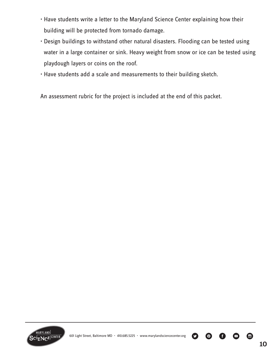- Have students write a letter to the Maryland Science Center explaining how their building will be protected from tornado damage.
- Design buildings to withstand other natural disasters. Flooding can be tested using water in a large container or sink. Heavy weight from snow or ice can be tested using playdough layers or coins on the roof.
- Have students add a scale and measurements to their building sketch.

An assessment rubric for the project is included at the end of this packet.



O

(の)

O

 $\bullet$   $\bullet$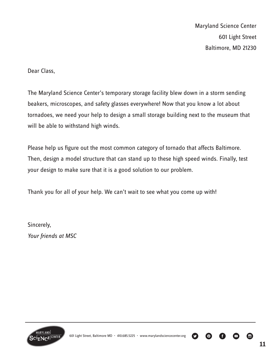Dear Class,

The Maryland Science Center's temporary storage facility blew down in a storm sending beakers, microscopes, and safety glasses everywhere! Now that you know a lot about tornadoes, we need your help to design a small storage building next to the museum that will be able to withstand high winds.

Please help us figure out the most common category of tornado that affects Baltimore. Then, design a model structure that can stand up to these high speed winds. Finally, test your design to make sure that it is a good solution to our problem.

Thank you for all of your help. We can't wait to see what you come up with!

Sincerely, *Your friends at MSC*



601 Light Street, Baltimore MD • 410.685.5225 • www.marylandsciencecenter.org

 $\bullet$ 

 $\bigcirc$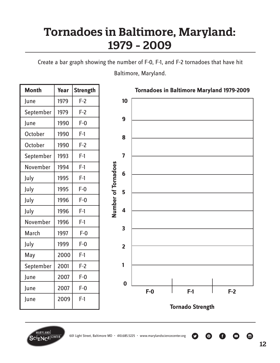# **Tornadoes in Baltimore, Maryland: 1979 - 2009**

Create a bar graph showing the number of F-0, F-1, and F-2 tornadoes that have hit

Baltimore, Maryland.

| <b>Month</b> | Year | <b>Strength</b> |
|--------------|------|-----------------|
| June         | 1979 | $F-2$           |
| September    | 1979 | $F-2$           |
| June         | 1990 | $F-0$           |
| October      | 1990 | $F-1$           |
| October      | 1990 | $F-2$           |
| September    | 1993 | $F-1$           |
| November     | 1994 | $F-1$           |
| July         | 1995 | $F-1$           |
| July         | 1995 | $F-0$           |
| July         | 1996 | $F-0$           |
| July         | 1996 | $F-1$           |
| November     | 1996 | $F-1$           |
| March        | 1997 | $F-0$           |
| July         | 1999 | $F-0$           |
| May          | 2000 | $F-1$           |
| September    | 2001 | $F-2$           |
| June         | 2007 | $F-0$           |
| June         | 2007 | $F-0$           |
| June         | 2009 | F-1             |



Ø

<u>( ඉ)</u>



 $\bullet$ 

Ŧ

 $\Box$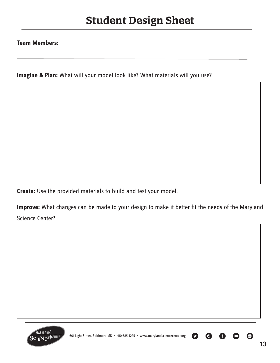#### **Team Members:**

**Imagine & Plan:** What will your model look like? What materials will you use?

**Create:** Use the provided materials to build and test your model.

**Improve:** What changes can be made to your design to make it better fit the needs of the Maryland

Science Center?



 $\odot$ 

 $\mathbf \Omega$ 

 $\boldsymbol{\Theta}$ 

 $\Box$ 

Ŧ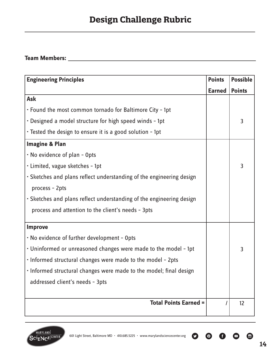#### **Team Members:**

| <b>Engineering Principles</b>                                        |               | <b>Possible</b> |
|----------------------------------------------------------------------|---------------|-----------------|
|                                                                      | <b>Earned</b> | <b>Points</b>   |
| Ask                                                                  |               |                 |
| • Found the most common tornado for Baltimore City - 1pt             |               |                 |
| . Designed a model structure for high speed winds - 1pt              |               | 3               |
| • Tested the design to ensure it is a good solution - 1pt            |               |                 |
| <b>Imagine &amp; Plan</b>                                            |               |                 |
| . No evidence of plan - Opts                                         |               |                 |
| · Limited, vague sketches - 1pt                                      |               | 3               |
| • Sketches and plans reflect understanding of the engineering design |               |                 |
| process - 2pts                                                       |               |                 |
| • Sketches and plans reflect understanding of the engineering design |               |                 |
| process and attention to the client's needs - 3pts                   |               |                 |
| <b>Improve</b>                                                       |               |                 |
| . No evidence of further development - Opts                          |               |                 |
| . Uninformed or unreasoned changes were made to the model - 1pt      |               | 3               |
| . Informed structural changes were made to the model - 2pts          |               |                 |
| . Informed structural changes were made to the model; final design   |               |                 |
| addressed client's needs - 3pts                                      |               |                 |
|                                                                      |               |                 |
| <b>Total Points Earned =</b>                                         |               | 12              |



**© 6 0 ©** 

 $\bullet$